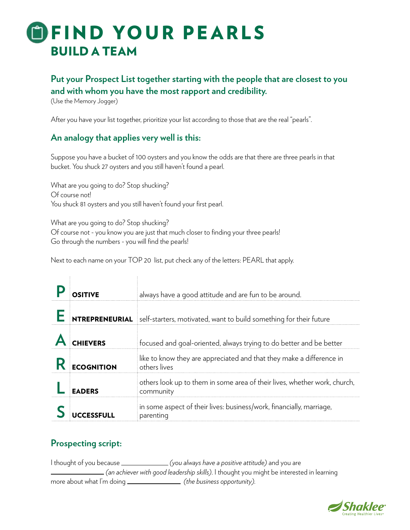# **DEIND YOUR PEARLS** BUILD A TEAM

## **Put your Prospect List together starting with the people that are closest to you and with whom you have the most rapport and credibility.**

(Use the Memory Jogger)

After you have your list together, prioritize your list according to those that are the real "pearls".

#### **An analogy that applies very well is this:**

Suppose you have a bucket of 100 oysters and you know the odds are that there are three pearls in that bucket. You shuck 27 oysters and you still haven't found a pearl.

What are you going to do? Stop shucking? Of course not! You shuck 81 oysters and you still haven't found your first pearl.

What are you going to do? Stop shucking? Of course not - you know you are just that much closer to finding your three pearls! Go through the numbers - you will find the pearls!

Next to each name on your TOP 20 list, put check any of the letters: PEARL that apply.

|                   | always have a good attitude and are fun to be around.                                  |
|-------------------|----------------------------------------------------------------------------------------|
|                   | NTREPRENEURIAL self-starters, motivated, want to build something for their future      |
| <b>CHIEVERS</b>   | focused and goal-oriented, always trying to do better and be better                    |
| <b>FCOGNITION</b> | like to know they are appreciated and that they make a difference in<br>others lives   |
|                   | others look up to them in some area of their lives, whether work, church,<br>community |
|                   | in some aspect of their lives: business/work, financially, marriage,<br>parenting      |

### **Prospecting script:**

I thought of you because *(you always have a positive attitude)* and you are *(an achiever with good leadership skills)*. I thought you might be interested in learning more about what I'm doing *(the business opportunity***)**.